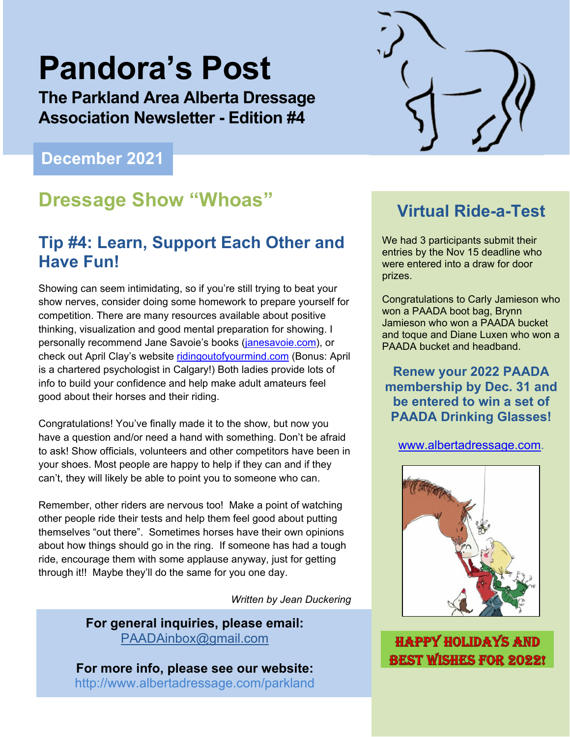# **Pandora's Post**

**The Parkland Area Alberta Dressage Association Newsletter - Edition #4** 

# **December 2021**

# **Dressage Show "Whoas" Virtual Ride-a-Test**

# **Tip #4: Learn, Support Each Other and Have Fun!**

Showing can seem intimidating, so if you're still trying to beat your show nerves, consider doing some homework to prepare yourself for competition. There are many resources available about positive thinking, visualization and good mental preparation for showing. I personally recommend Jane Savoie's books (janesavoie.com), or check out April Clay's website ridingoutofyourmind.com (Bonus: April is a chartered psychologist in Calgary!) Both ladies provide lots of info to build your confidence and help make adult amateurs feel good about their horses and their riding.

Congratulations! You've finally made it to the show, but now you have a question and/or need a hand with something. Don't be afraid to ask! Show officials, volunteers and other competitors have been in your shoes. Most people are happy to help if they can and if they can't, they will likely be able to point you to someone who can.

Remember, other riders are nervous too! Make a point of watching other people ride their tests and help them feel good about putting themselves "out there". Sometimes horses have their own opinions about how things should go in the ring. If someone has had a tough ride, encourage them with some applause anyway, just for getting through it!! Maybe they'll do the same for you one day.

*Written by Jean Duckering* 

**For general inquiries, please email:**  PAADAinbox@gmail.com

**For more info, please see our website:** http://www.albertadressage.com/parkland



We had 3 participants submit their entries by the Nov 15 deadline who were entered into a draw for door prizes.

Congratulations to Carly Jamieson who won a PAADA boot bag, Brynn Jamieson who won a PAADA bucket and toque and Diane Luxen who won a PAADA bucket and headband.

**Renew your 2022 PAADA membership by Dec. 31 and be entered to win a set of PAADA Drinking Glasses!** 

www.albertadressage.com.



**HAPPY HOLIDAYS AND BEST WISHES FOR 2022!**